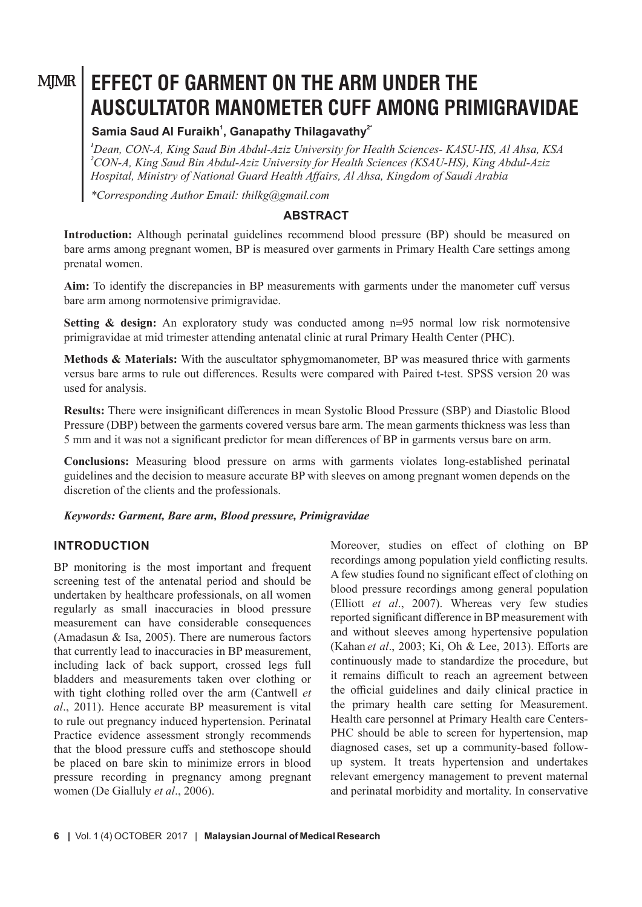# **MJMR**

# **EFFECT OF GARMENT ON THE ARM UNDER THE AUSCULTATOR MANOMETER CUFF AMONG PRIMIGRAVIDAE**

# Samia Saud Al Furaikh<sup>1</sup>, Ganapathy Thilagavathy<sup>2</sup>'

*1 Dean, CON-A, King Saud Bin Abdul-Aziz University for Health Sciences- KASU-HS, Al Ahsa, KSA 2 CON-A, King Saud Bin Abdul-Aziz University for Health Sciences (KSAU-HS), King Abdul-Aziz Hospital, Ministry of National Guard Health Affairs, Al Ahsa, Kingdom of Saudi Arabia* 

*\*Corresponding Author Email: thilkg@gmail.com*

#### **ABSTRACT**

**Introduction:** Although perinatal guidelines recommend blood pressure (BP) should be measured on bare arms among pregnant women, BP is measured over garments in Primary Health Care settings among prenatal women.

Aim: To identify the discrepancies in BP measurements with garments under the manometer cuff versus bare arm among normotensive primigravidae.

**Setting & design:** An exploratory study was conducted among n=95 normal low risk normotensive primigravidae at mid trimester attending antenatal clinic at rural Primary Health Center (PHC).

**Methods & Materials:** With the auscultator sphygmomanometer, BP was measured thrice with garments versus bare arms to rule out differences. Results were compared with Paired t-test. SPSS version 20 was used for analysis.

**Results:** There were insignificant differences in mean Systolic Blood Pressure (SBP) and Diastolic Blood Pressure (DBP) between the garments covered versus bare arm. The mean garments thickness was less than 5 mm and it was not a significant predictor for mean differences of BP in garments versus bare on arm.

**Conclusions:** Measuring blood pressure on arms with garments violates long-established perinatal guidelines and the decision to measure accurate BP with sleeves on among pregnant women depends on the discretion of the clients and the professionals.

#### *Keywords: Garment, Bare arm, Blood pressure, Primigravidae*

#### **INTRODUCTION**

BP monitoring is the most important and frequent screening test of the antenatal period and should be undertaken by healthcare professionals, on all women regularly as small inaccuracies in blood pressure measurement can have considerable consequences (Amadasun & Isa, 2005). There are numerous factors that currently lead to inaccuracies in BP measurement, including lack of back support, crossed legs full bladders and measurements taken over clothing or with tight clothing rolled over the arm (Cantwell *et al*., 2011). Hence accurate BP measurement is vital to rule out pregnancy induced hypertension. Perinatal Practice evidence assessment strongly recommends that the blood pressure cuffs and stethoscope should be placed on bare skin to minimize errors in blood pressure recording in pregnancy among pregnant women (De Gialluly *et al*., 2006).

Moreover, studies on effect of clothing on BP recordings among population yield conflicting results. A few studies found no significant effect of clothing on blood pressure recordings among general population (Elliott *et al*., 2007). Whereas very few studies reported significant difference in BP measurement with and without sleeves among hypertensive population (Kahan *et al*., 2003; Ki, Oh & Lee, 2013). Efforts are continuously made to standardize the procedure, but it remains difficult to reach an agreement between the official guidelines and daily clinical practice in the primary health care setting for Measurement. Health care personnel at Primary Health care Centers-PHC should be able to screen for hypertension, map diagnosed cases, set up a community-based followup system. It treats hypertension and undertakes relevant emergency management to prevent maternal and perinatal morbidity and mortality. In conservative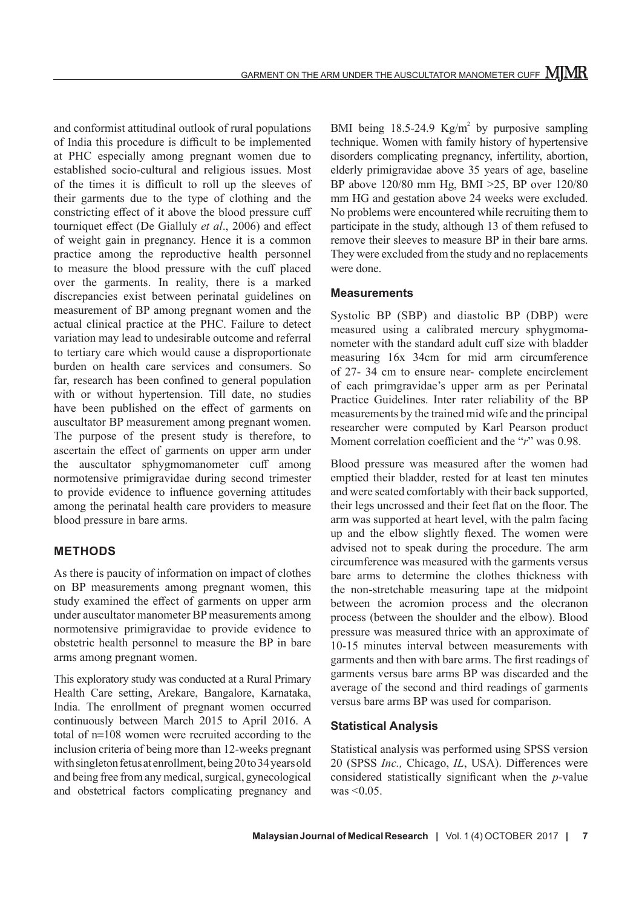and conformist attitudinal outlook of rural populations of India this procedure is difficult to be implemented at PHC especially among pregnant women due to established socio-cultural and religious issues. Most of the times it is difficult to roll up the sleeves of their garments due to the type of clothing and the constricting effect of it above the blood pressure cuff tourniquet effect (De Gialluly *et al*., 2006) and effect of weight gain in pregnancy. Hence it is a common practice among the reproductive health personnel to measure the blood pressure with the cuff placed over the garments. In reality, there is a marked discrepancies exist between perinatal guidelines on measurement of BP among pregnant women and the actual clinical practice at the PHC. Failure to detect variation may lead to undesirable outcome and referral to tertiary care which would cause a disproportionate burden on health care services and consumers. So far, research has been confined to general population with or without hypertension. Till date, no studies have been published on the effect of garments on auscultator BP measurement among pregnant women. The purpose of the present study is therefore, to ascertain the effect of garments on upper arm under the auscultator sphygmomanometer cuff among normotensive primigravidae during second trimester to provide evidence to influence governing attitudes among the perinatal health care providers to measure blood pressure in bare arms.

#### **METHODS**

As there is paucity of information on impact of clothes on BP measurements among pregnant women, this study examined the effect of garments on upper arm under auscultator manometer BP measurements among normotensive primigravidae to provide evidence to obstetric health personnel to measure the BP in bare arms among pregnant women.

This exploratory study was conducted at a Rural Primary Health Care setting, Arekare, Bangalore, Karnataka, India. The enrollment of pregnant women occurred continuously between March 2015 to April 2016. A total of n=108 women were recruited according to the inclusion criteria of being more than 12-weeks pregnant with singleton fetus at enrollment, being 20 to 34 years old and being free from any medical, surgical, gynecological and obstetrical factors complicating pregnancy and

BMI being  $18.5\n-24.9$  Kg/m<sup>2</sup> by purposive sampling technique. Women with family history of hypertensive disorders complicating pregnancy, infertility, abortion, elderly primigravidae above 35 years of age, baseline BP above 120/80 mm Hg, BMI >25, BP over 120/80 mm HG and gestation above 24 weeks were excluded. No problems were encountered while recruiting them to participate in the study, although 13 of them refused to remove their sleeves to measure BP in their bare arms. They were excluded from the study and no replacements were done.

#### **Measurements**

Systolic BP (SBP) and diastolic BP (DBP) were measured using a calibrated mercury sphygmomanometer with the standard adult cuff size with bladder measuring 16x 34cm for mid arm circumference of 27- 34 cm to ensure near- complete encirclement of each primgravidae's upper arm as per Perinatal Practice Guidelines. Inter rater reliability of the BP measurements by the trained mid wife and the principal researcher were computed by Karl Pearson product Moment correlation coefficient and the "*r*" was 0.98.

Blood pressure was measured after the women had emptied their bladder, rested for at least ten minutes and were seated comfortably with their back supported, their legs uncrossed and their feet flat on the floor. The arm was supported at heart level, with the palm facing up and the elbow slightly flexed. The women were advised not to speak during the procedure. The arm circumference was measured with the garments versus bare arms to determine the clothes thickness with the non-stretchable measuring tape at the midpoint between the acromion process and the olecranon process (between the shoulder and the elbow). Blood pressure was measured thrice with an approximate of 10-15 minutes interval between measurements with garments and then with bare arms. The first readings of garments versus bare arms BP was discarded and the average of the second and third readings of garments versus bare arms BP was used for comparison.

#### **Statistical Analysis**

Statistical analysis was performed using SPSS version 20 (SPSS *Inc.,* Chicago, *IL*, USA). Differences were considered statistically significant when the *p*-value was  $\leq 0.05$ .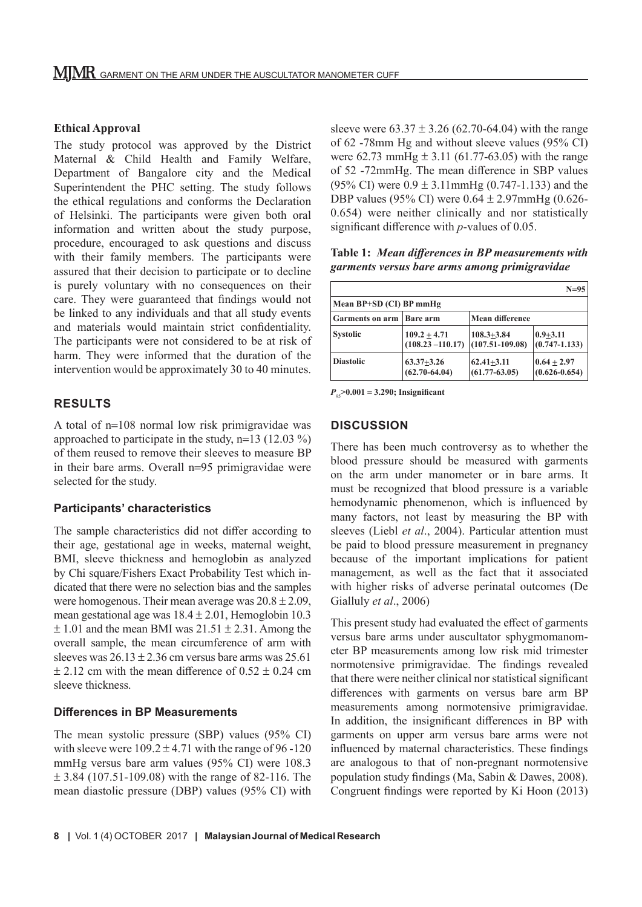#### **Ethical Approval**

The study protocol was approved by the District Maternal & Child Health and Family Welfare, Department of Bangalore city and the Medical Superintendent the PHC setting. The study follows the ethical regulations and conforms the Declaration of Helsinki. The participants were given both oral information and written about the study purpose, procedure, encouraged to ask questions and discuss with their family members. The participants were assured that their decision to participate or to decline is purely voluntary with no consequences on their care. They were guaranteed that findings would not be linked to any individuals and that all study events and materials would maintain strict confidentiality. The participants were not considered to be at risk of harm. They were informed that the duration of the intervention would be approximately 30 to 40 minutes.

## **RESULTS**

A total of n=108 normal low risk primigravidae was approached to participate in the study, n=13 (12.03 %) of them reused to remove their sleeves to measure BP in their bare arms. Overall n=95 primigravidae were selected for the study.

#### **Participants' characteristics**

The sample characteristics did not differ according to their age, gestational age in weeks, maternal weight, BMI, sleeve thickness and hemoglobin as analyzed by Chi square/Fishers Exact Probability Test which indicated that there were no selection bias and the samples were homogenous. Their mean average was  $20.8 \pm 2.09$ , mean gestational age was  $18.4 \pm 2.01$ , Hemoglobin 10.3  $\pm$  1.01 and the mean BMI was 21.51  $\pm$  2.31. Among the overall sample, the mean circumference of arm with sleeves was  $26.13 + 2.36$  cm versus bare arms was  $25.61$  $\pm$  2.12 cm with the mean difference of 0.52  $\pm$  0.24 cm sleeve thickness.

#### **Differences in BP Measurements**

The mean systolic pressure (SBP) values (95% CI) with sleeve were  $109.2 \pm 4.71$  with the range of 96-120 mmHg versus bare arm values (95% CI) were 108.3  $\pm$  3.84 (107.51-109.08) with the range of 82-116. The mean diastolic pressure (DBP) values (95% CI) with sleeve were  $63.37 \pm 3.26$  (62.70-64.04) with the range of 62 -78mm Hg and without sleeve values (95% CI) were 62.73 mmHg  $\pm$  3.11 (61.77-63.05) with the range of 52 -72mmHg. The mean difference in SBP values (95% CI) were  $0.9 \pm 3.11$ mmHg (0.747-1.133) and the DBP values (95% CI) were 0.64 ± 2.97mmHg (0.626- 0.654) were neither clinically and nor statistically significant difference with *p*-values of 0.05.

**Table 1:** *Mean differences in BP measurements with garments versus bare arms among primigravidae*

|                         |                                       |                                       | $N = 95$                           |
|-------------------------|---------------------------------------|---------------------------------------|------------------------------------|
| Mean BP+SD (CI) BP mmHg |                                       |                                       |                                    |
| <b>Garments on arm</b>  | Bare arm                              | <b>Mean difference</b>                |                                    |
| <b>Systolic</b>         | $109.2 + 4.71$<br>$(108.23 - 110.17)$ | $108.3 + 3.84$<br>$(107.51 - 109.08)$ | $0.9 + 3.11$<br>$(0.747 - 1.133)$  |
| <b>Diastolic</b>        | $63.37 + 3.26$<br>$(62.70 - 64.04)$   | $62.41 + 3.11$<br>$(61.77-63.05)$     | $0.64 + 2.97$<br>$(0.626 - 0.654)$ |

 $P_{95}$  $> 0.001 = 3.290$ ; Insignificant

#### **DISCUSSION**

There has been much controversy as to whether the blood pressure should be measured with garments on the arm under manometer or in bare arms. It must be recognized that blood pressure is a variable hemodynamic phenomenon, which is influenced by many factors, not least by measuring the BP with sleeves (Liebl *et al*., 2004). Particular attention must be paid to blood pressure measurement in pregnancy because of the important implications for patient management, as well as the fact that it associated with higher risks of adverse perinatal outcomes (De Gialluly *et al*., 2006)

This present study had evaluated the effect of garments versus bare arms under auscultator sphygmomanometer BP measurements among low risk mid trimester normotensive primigravidae. The findings revealed that there were neither clinical nor statistical significant differences with garments on versus bare arm BP measurements among normotensive primigravidae. In addition, the insignificant differences in BP with garments on upper arm versus bare arms were not influenced by maternal characteristics. These findings are analogous to that of non-pregnant normotensive population study findings (Ma, Sabin & Dawes, 2008). Congruent findings were reported by Ki Hoon (2013)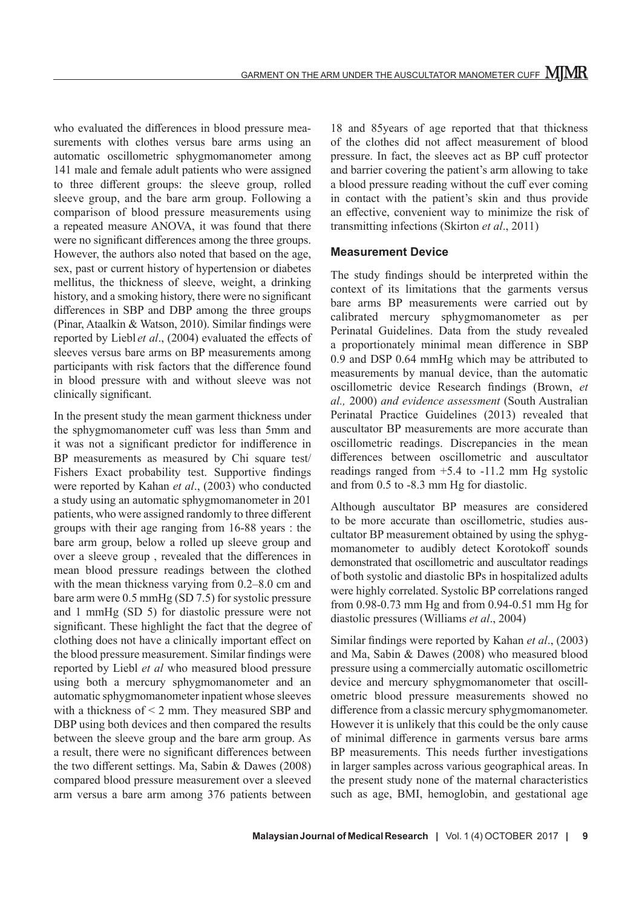who evaluated the differences in blood pressure measurements with clothes versus bare arms using an automatic oscillometric sphygmomanometer among 141 male and female adult patients who were assigned to three different groups: the sleeve group, rolled sleeve group, and the bare arm group. Following a comparison of blood pressure measurements using a repeated measure ANOVA, it was found that there were no significant differences among the three groups. However, the authors also noted that based on the age, sex, past or current history of hypertension or diabetes mellitus, the thickness of sleeve, weight, a drinking history, and a smoking history, there were no significant differences in SBP and DBP among the three groups (Pinar, Ataalkin & Watson, 2010). Similar findings were reported by Liebl *et al*., (2004) evaluated the effects of sleeves versus bare arms on BP measurements among participants with risk factors that the difference found in blood pressure with and without sleeve was not clinically significant.

In the present study the mean garment thickness under the sphygmomanometer cuff was less than 5mm and it was not a significant predictor for indifference in BP measurements as measured by Chi square test/ Fishers Exact probability test. Supportive findings were reported by Kahan *et al*., (2003) who conducted a study using an automatic sphygmomanometer in 201 patients, who were assigned randomly to three different groups with their age ranging from 16-88 years : the bare arm group, below a rolled up sleeve group and over a sleeve group , revealed that the differences in mean blood pressure readings between the clothed with the mean thickness varying from 0.2–8.0 cm and bare arm were 0.5 mmHg (SD 7.5) for systolic pressure and 1 mmHg (SD 5) for diastolic pressure were not significant. These highlight the fact that the degree of clothing does not have a clinically important effect on the blood pressure measurement. Similar findings were reported by Liebl *et al* who measured blood pressure using both a mercury sphygmomanometer and an automatic sphygmomanometer inpatient whose sleeves with a thickness of < 2 mm. They measured SBP and DBP using both devices and then compared the results between the sleeve group and the bare arm group. As a result, there were no significant differences between the two different settings. Ma, Sabin & Dawes (2008) compared blood pressure measurement over a sleeved arm versus a bare arm among 376 patients between

18 and 85years of age reported that that thickness of the clothes did not affect measurement of blood pressure. In fact, the sleeves act as BP cuff protector and barrier covering the patient's arm allowing to take a blood pressure reading without the cuff ever coming in contact with the patient's skin and thus provide an effective, convenient way to minimize the risk of transmitting infections (Skirton *et al*., 2011)

#### **Measurement Device**

The study findings should be interpreted within the context of its limitations that the garments versus bare arms BP measurements were carried out by calibrated mercury sphygmomanometer as per Perinatal Guidelines. Data from the study revealed a proportionately minimal mean difference in SBP 0.9 and DSP 0.64 mmHg which may be attributed to measurements by manual device, than the automatic oscillometric device Research findings (Brown, *et al.,* 2000) *and evidence assessment* (South Australian Perinatal Practice Guidelines (2013) revealed that auscultator BP measurements are more accurate than oscillometric readings. Discrepancies in the mean differences between oscillometric and auscultator readings ranged from  $+5.4$  to  $-11.2$  mm Hg systolic and from 0.5 to -8.3 mm Hg for diastolic.

Although auscultator BP measures are considered to be more accurate than oscillometric, studies auscultator BP measurement obtained by using the sphygmomanometer to audibly detect Korotokoff sounds demonstrated that oscillometric and auscultator readings of both systolic and diastolic BPs in hospitalized adults were highly correlated. Systolic BP correlations ranged from 0.98-0.73 mm Hg and from 0.94-0.51 mm Hg for diastolic pressures (Williams *et al*., 2004)

Similar findings were reported by Kahan *et al*., (2003) and Ma, Sabin & Dawes (2008) who measured blood pressure using a commercially automatic oscillometric device and mercury sphygmomanometer that oscillometric blood pressure measurements showed no difference from a classic mercury sphygmomanometer. However it is unlikely that this could be the only cause of minimal difference in garments versus bare arms BP measurements. This needs further investigations in larger samples across various geographical areas. In the present study none of the maternal characteristics such as age, BMI, hemoglobin, and gestational age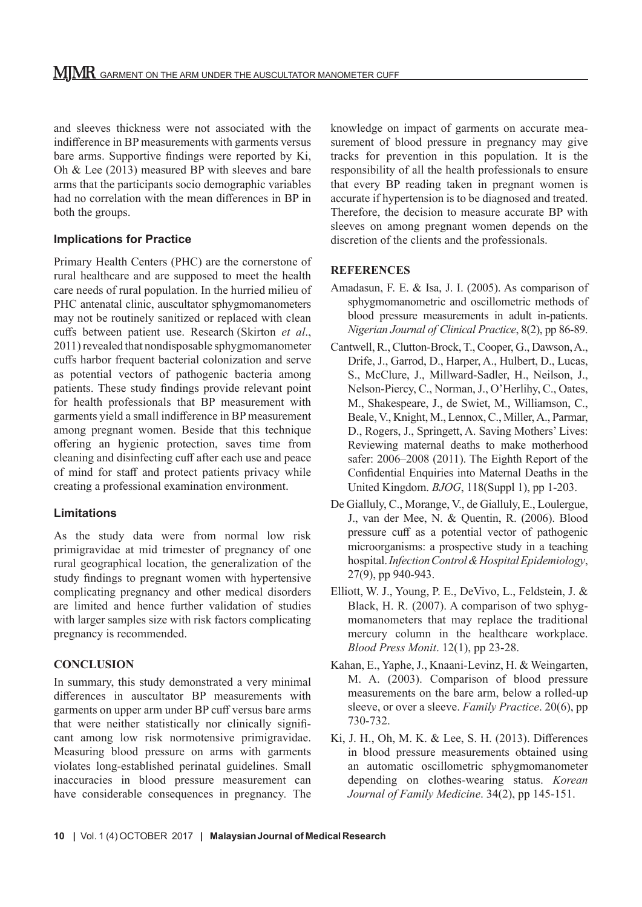and sleeves thickness were not associated with the indifference in BP measurements with garments versus bare arms. Supportive findings were reported by Ki, Oh & Lee (2013) measured BP with sleeves and bare arms that the participants socio demographic variables had no correlation with the mean differences in BP in both the groups.

#### **Implications for Practice**

Primary Health Centers (PHC) are the cornerstone of rural healthcare and are supposed to meet the health care needs of rural population. In the hurried milieu of PHC antenatal clinic, auscultator sphygmomanometers may not be routinely sanitized or replaced with clean cuffs between patient use. Research (Skirton *et al*., 2011) revealed that nondisposable sphygmomanometer cuffs harbor frequent bacterial colonization and serve as potential vectors of pathogenic bacteria among patients. These study findings provide relevant point for health professionals that BP measurement with garments yield a small indifference in BP measurement among pregnant women. Beside that this technique offering an hygienic protection, saves time from cleaning and disinfecting cuff after each use and peace of mind for staff and protect patients privacy while creating a professional examination environment.

# **Limitations**

As the study data were from normal low risk primigravidae at mid trimester of pregnancy of one rural geographical location, the generalization of the study findings to pregnant women with hypertensive complicating pregnancy and other medical disorders are limited and hence further validation of studies with larger samples size with risk factors complicating pregnancy is recommended.

#### **CONCLUSION**

In summary, this study demonstrated a very minimal differences in auscultator BP measurements with garments on upper arm under BP cuff versus bare arms that were neither statistically nor clinically significant among low risk normotensive primigravidae. Measuring blood pressure on arms with garments violates long-established perinatal guidelines. Small inaccuracies in blood pressure measurement can have considerable consequences in pregnancy*.* The knowledge on impact of garments on accurate measurement of blood pressure in pregnancy may give tracks for prevention in this population. It is the responsibility of all the health professionals to ensure that every BP reading taken in pregnant women is accurate if hypertension is to be diagnosed and treated. Therefore, the decision to measure accurate BP with sleeves on among pregnant women depends on the discretion of the clients and the professionals.

## **REFERENCES**

- Amadasun, F. E. & Isa, J. I. (2005). As comparison of sphygmomanometric and oscillometric methods of blood pressure measurements in adult in-patients. *Nigerian Journal of Clinical Practice*, 8(2), pp 86-89.
- Cantwell, R., Clutton-Brock, T., Cooper, G., Dawson, A., Drife, J., Garrod, D., Harper, A., Hulbert, D., Lucas, S., McClure, J., Millward-Sadler, H., Neilson, J., Nelson-Piercy, C., Norman, J., O'Herlihy, C., Oates, M., Shakespeare, J., de Swiet, M., Williamson, C., Beale, V., Knight, M., Lennox, C., Miller, A., Parmar, D., Rogers, J., Springett, A. Saving Mothers' Lives: Reviewing maternal deaths to make motherhood safer: 2006–2008 (2011). The Eighth Report of the Confidential Enquiries into Maternal Deaths in the United Kingdom. *BJOG*, 118(Suppl 1), pp 1-203.
- De Gialluly, C., Morange, V., de Gialluly, E., Loulergue, J., van der Mee, N. & Quentin, R. (2006). Blood pressure cuff as a potential vector of pathogenic microorganisms: a prospective study in a teaching hospital. *Infection Control & Hospital Epidemiology*, 27(9), pp 940-943.
- Elliott, W. J., Young, P. E., DeVivo, L., Feldstein, J. & Black, H. R. (2007). A comparison of two sphygmomanometers that may replace the traditional mercury column in the healthcare workplace. *Blood Press Monit*. 12(1), pp 23-28.
- Kahan, E., Yaphe, J., Knaani-Levinz, H. & Weingarten, M. A. (2003). Comparison of blood pressure measurements on the bare arm, below a rolled-up sleeve, or over a sleeve. *Family Practice*. 20(6), pp 730-732.
- Ki, J. H., Oh, M. K. & Lee, S. H. (2013). Differences in blood pressure measurements obtained using an automatic oscillometric sphygmomanometer depending on clothes-wearing status. *Korean Journal of Family Medicine*. 34(2), pp 145-151.